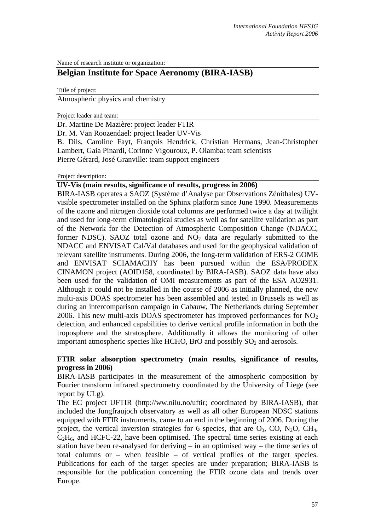Name of research institute or organization:

# **Belgian Institute for Space Aeronomy (BIRA-IASB)**

Title of project:

Atmospheric physics and chemistry

Project leader and team:

Dr. Martine De Mazière: project leader FTIR

Dr. M. Van Roozendael: project leader UV-Vis

B. Dils, Caroline Fayt, François Hendrick, Christian Hermans, Jean-Christopher Lambert, Gaia Pinardi, Corinne Vigouroux, P. Olamba: team scientists Pierre Gérard, José Granville: team support engineers

## Project description:

## **UV-Vis (main results, significance of results, progress in 2006)**

BIRA-IASB operates a SAOZ (Système d'Analyse par Observations Zénithales) UVvisible spectrometer installed on the Sphinx platform since June 1990. Measurements of the ozone and nitrogen dioxide total columns are performed twice a day at twilight and used for long-term climatological studies as well as for satellite validation as part of the Network for the Detection of Atmospheric Composition Change (NDACC, former NDSC). SAOZ total ozone and  $NO<sub>2</sub>$  data are regularly submitted to the NDACC and ENVISAT Cal/Val databases and used for the geophysical validation of relevant satellite instruments. During 2006, the long-term validation of ERS-2 GOME and ENVISAT SCIAMACHY has been pursued within the ESA/PRODEX CINAMON project (AOID158, coordinated by BIRA-IASB). SAOZ data have also been used for the validation of OMI measurements as part of the ESA AO2931. Although it could not be installed in the course of 2006 as initially planned, the new multi-axis DOAS spectrometer has been assembled and tested in Brussels as well as during an intercomparison campaign in Cabauw, The Netherlands during September 2006. This new multi-axis DOAS spectrometer has improved performances for  $NO<sub>2</sub>$ detection, and enhanced capabilities to derive vertical profile information in both the troposphere and the stratosphere. Additionally it allows the monitoring of other important atmospheric species like HCHO, BrO and possibly  $SO<sub>2</sub>$  and aerosols.

## **FTIR solar absorption spectrometry (main results, significance of results, progress in 2006)**

BIRA-IASB participates in the measurement of the atmospheric composition by Fourier transform infrared spectrometry coordinated by the University of Liege (see report by ULg).

The EC project UFTIR (http://ww.nilu.no/uftir; coordinated by BIRA-IASB), that included the Jungfraujoch observatory as well as all other European NDSC stations equipped with FTIR instruments, came to an end in the beginning of 2006. During the project, the vertical inversion strategies for 6 species, that are  $O_3$ , CO, N<sub>2</sub>O, CH<sub>4</sub>,  $C_2H_6$ , and HCFC-22, have been optimised. The spectral time series existing at each station have been re-analysed for deriving – in an optimised way – the time series of total columns or – when feasible – of vertical profiles of the target species. Publications for each of the target species are under preparation; BIRA-IASB is responsible for the publication concerning the FTIR ozone data and trends over Europe.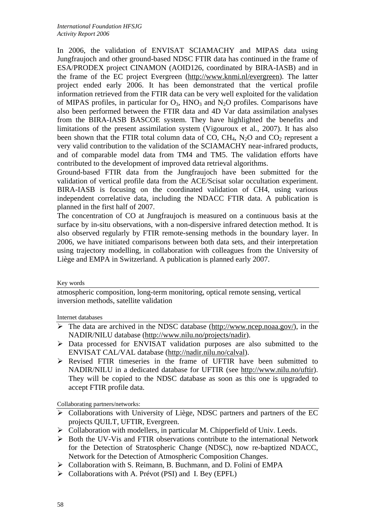In 2006, the validation of ENVISAT SCIAMACHY and MIPAS data using Jungfraujoch and other ground-based NDSC FTIR data has continued in the frame of ESA/PRODEX project CINAMON (AOID126, coordinated by BIRA-IASB) and in the frame of the EC project Evergreen (http://www.knmi.nl/evergreen). The latter project ended early 2006. It has been demonstrated that the vertical profile information retrieved from the FTIR data can be very well exploited for the validation of MIPAS profiles, in particular for  $O_3$ , HNO<sub>3</sub> and N<sub>2</sub>O profiles. Comparisons have also been performed between the FTIR data and 4D Var data assimilation analyses from the BIRA-IASB BASCOE system. They have highlighted the benefits and limitations of the present assimilation system (Vigouroux et al., 2007). It has also been shown that the FTIR total column data of CO,  $CH_4$ , N<sub>2</sub>O and CO<sub>2</sub> represent a very valid contribution to the validation of the SCIAMACHY near-infrared products, and of comparable model data from TM4 and TM5. The validation efforts have contributed to the development of improved data retrieval algorithms.

Ground-based FTIR data from the Jungfraujoch have been submitted for the validation of vertical profile data from the ACE/Scisat solar occultation experiment. BIRA-IASB is focusing on the coordinated validation of CH4, using various independent correlative data, including the NDACC FTIR data. A publication is planned in the first half of 2007.

The concentration of CO at Jungfraujoch is measured on a continuous basis at the surface by in-situ observations, with a non-dispersive infrared detection method. It is also observed regularly by FTIR remote-sensing methods in the boundary layer. In 2006, we have initiated comparisons between both data sets, and their interpretation using trajectory modelling, in collaboration with colleagues from the University of Liège and EMPA in Switzerland. A publication is planned early 2007.

## Key words

atmospheric composition, long-term monitoring, optical remote sensing, vertical inversion methods, satellite validation

Internet databases

- $\triangleright$  The data are archived in the NDSC database (http://www.ncep.noaa.gov/), in the NADIR/NILU database (http://www.nilu.no/projects/nadir).
- ¾ Data processed for ENVISAT validation purposes are also submitted to the ENVISAT CAL/VAL database (http://nadir.nilu.no/calval).
- ¾ Revised FTIR timeseries in the frame of UFTIR have been submitted to NADIR/NILU in a dedicated database for UFTIR (see http://www.nilu.no/uftir). They will be copied to the NDSC database as soon as this one is upgraded to accept FTIR profile data.

Collaborating partners/networks:

- $\triangleright$  Collaborations with University of Liège, NDSC partners and partners of the EC projects QUILT, UFTIR, Evergreen.
- ¾ Collaboration with modellers, in particular M. Chipperfield of Univ. Leeds.
- $\triangleright$  Both the UV-Vis and FTIR observations contribute to the international Network for the Detection of Stratospheric Change (NDSC), now re-baptized NDACC, Network for the Detection of Atmospheric Composition Changes.
- ¾ Collaboration with S. Reimann, B. Buchmann, and D. Folini of EMPA
- ¾ Collaborations with A. Prévot (PSI) and I. Bey (EPFL)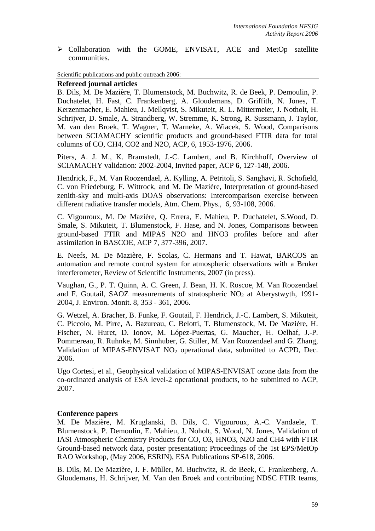¾ Collaboration with the GOME, ENVISAT, ACE and MetOp satellite communities.

Scientific publications and public outreach 2006:

## **Refereed journal articles**

B. Dils, M. De Mazière, T. Blumenstock, M. Buchwitz, R. de Beek, P. Demoulin, P. Duchatelet, H. Fast, C. Frankenberg, A. Gloudemans, D. Griffith, N. Jones, T. Kerzenmacher, E. Mahieu, J. Mellqvist, S. Mikuteit, R. L. Mittermeier, J. Notholt, H. Schrijver, D. Smale, A. Strandberg, W. Stremme, K. Strong, R. Sussmann, J. Taylor, M. van den Broek, T. Wagner, T. Warneke, A. Wiacek, S. Wood, Comparisons between SCIAMACHY scientific products and ground-based FTIR data for total columns of CO, CH4, CO2 and N2O, ACP, 6, 1953-1976, 2006.

Piters, A. J. M., K. Bramstedt, J.-C. Lambert, and B. Kirchhoff, Overview of SCIAMACHY validation: 2002-2004, Invited paper, ACP **6**, 127-148, 2006.

Hendrick, F., M. Van Roozendael, A. Kylling, A. Petritoli, S. Sanghavi, R. Schofield, C. von Friedeburg, F. Wittrock, and M. De Mazière, Interpretation of ground-based zenith-sky and multi-axis DOAS observations: Intercomparison exercise between different radiative transfer models, Atm. Chem. Phys., 6, 93-108, 2006.

C. Vigouroux, M. De Mazière, Q. Errera, E. Mahieu, P. Duchatelet, S.Wood, D. Smale, S. Mikuteit, T. Blumenstock, F. Hase, and N. Jones, Comparisons between ground-based FTIR and MIPAS N2O and HNO3 profiles before and after assimilation in BASCOE, ACP 7, 377-396, 2007.

E. Neefs, M. De Mazière, F. Scolas, C. Hermans and T. Hawat, BARCOS an automation and remote control system for atmospheric observations with a Bruker interferometer, Review of Scientific Instruments, 2007 (in press).

Vaughan, G., P. T. Quinn, A. C. Green, J. Bean, H. K. Roscoe, M. Van Roozendael and F. Goutail, SAOZ measurements of stratospheric  $NO<sub>2</sub>$  at Aberystwyth, 1991-2004, J. Environ. Monit. 8, 353 - 361, 2006.

G. Wetzel, A. Bracher, B. Funke, F. Goutail, F. Hendrick, J.-C. Lambert, S. Mikuteit, C. Piccolo, M. Pirre, A. Bazureau, C. Belotti, T. Blumenstock, M. De Mazière, H. Fischer, N. Huret, D. Ionov, M. López-Puertas, G. Maucher, H. Oelhaf, J.-P. Pommereau, R. Ruhnke, M. Sinnhuber, G. Stiller, M. Van Roozendael and G. Zhang, Validation of MIPAS-ENVISAT NO<sub>2</sub> operational data, submitted to ACPD, Dec. 2006.

Ugo Cortesi, et al., Geophysical validation of MIPAS-ENVISAT ozone data from the co-ordinated analysis of ESA level-2 operational products, to be submitted to ACP, 2007.

## **Conference papers**

M. De Mazière, M. Kruglanski, B. Dils, C. Vigouroux, A.-C. Vandaele, T. Blumenstock, P. Demoulin, E. Mahieu, J. Noholt, S. Wood, N. Jones, Validation of IASI Atmospheric Chemistry Products for CO, O3, HNO3, N2O and CH4 with FTIR Ground-based network data, poster presentation; Proceedings of the 1st EPS/MetOp RAO Workshop, (May 2006, ESRIN), ESA Publications SP-618, 2006.

B. Dils, M. De Mazière, J. F. Müller, M. Buchwitz, R. de Beek, C. Frankenberg, A. Gloudemans, H. Schrijver, M. Van den Broek and contributing NDSC FTIR teams,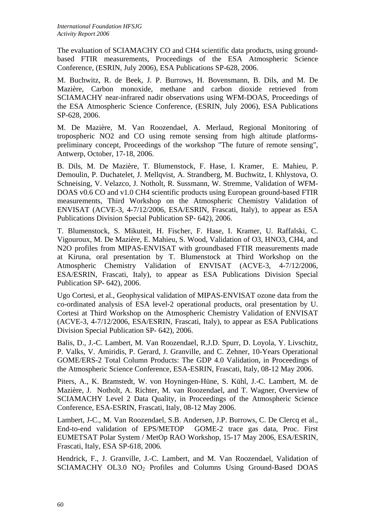The evaluation of SCIAMACHY CO and CH4 scientific data products, using groundbased FTIR measurements, Proceedings of the ESA Atmospheric Science Conference, (ESRIN, July 2006), ESA Publications SP-628, 2006.

M. Buchwitz, R. de Beek, J. P. Burrows, H. Bovensmann, B. Dils, and M. De Mazière, Carbon monoxide, methane and carbon dioxide retrieved from SCIAMACHY near-infrared nadir observations using WFM-DOAS, Proceedings of the ESA Atmospheric Science Conference, (ESRIN, July 2006), ESA Publications SP-628, 2006.

M. De Mazière, M. Van Roozendael, A. Merlaud, Regional Monitoring of tropospheric NO2 and CO using remote sensing from high altitude platformspreliminary concept, Proceedings of the workshop "The future of remote sensing", Antwerp, October, 17-18, 2006.

B. Dils, M. De Mazière, T. Blumenstock, F. Hase, I. Kramer, E. Mahieu, P. Demoulin, P. Duchatelet, J. Mellqvist, A. Strandberg, M. Buchwitz, I. Khlystova, O. Schneising, V. Velazco, J. Notholt, R. Sussmann, W. Stremme, Validation of WFM-DOAS v0.6 CO and v1.0 CH4 scientific products using European ground-based FTIR measurements, Third Workshop on the Atmospheric Chemistry Validation of ENVISAT (ACVE-3, 4-7/12/2006, ESA/ESRIN, Frascati, Italy), to appear as ESA Publications Division Special Publication SP- 642), 2006.

T. Blumenstock, S. Mikuteit, H. Fischer, F. Hase, I. Kramer, U. Raffalski, C. Vigouroux, M. De Mazière, E. Mahieu, S. Wood, Validation of O3, HNO3, CH4, and N2O profiles from MIPAS-ENVISAT with groundbased FTIR measurements made at Kiruna, oral presentation by T. Blumenstock at Third Workshop on the Atmospheric Chemistry Validation of ENVISAT (ACVE-3, 4-7/12/2006, ESA/ESRIN, Frascati, Italy), to appear as ESA Publications Division Special Publication SP- 642), 2006.

Ugo Cortesi, et al., Geophysical validation of MIPAS-ENVISAT ozone data from the co-ordinated analysis of ESA level-2 operational products, oral presentation by U. Cortesi at Third Workshop on the Atmospheric Chemistry Validation of ENVISAT (ACVE-3, 4-7/12/2006, ESA/ESRIN, Frascati, Italy), to appear as ESA Publications Division Special Publication SP- 642), 2006.

Balis, D., J.-C. Lambert, M. Van Roozendael, R.J.D. Spurr, D. Loyola, Y. Livschitz, P. Valks, V. Amiridis, P. Gerard, J. Granville, and C. Zehner, 10-Years Operational GOME/ERS-2 Total Column Products: The GDP 4.0 Validation, in Proceedings of the Atmospheric Science Conference, ESA-ESRIN, Frascati, Italy, 08-12 May 2006.

Piters, A., K. Bramstedt, W. von Hoyningen-Hüne, S. Kühl, J.-C. Lambert, M. de Mazière, J. Notholt, A. Richter, M. van Roozendael, and T. Wagner, Overview of SCIAMACHY Level 2 Data Quality, in Proceedings of the Atmospheric Science Conference, ESA-ESRIN, Frascati, Italy, 08-12 May 2006.

Lambert, J-C., M. Van Roozendael, S.B. Andersen, J.P. Burrows, C. De Clercq et al., End-to-end validation of EPS/METOP GOME-2 trace gas data, Proc. First EUMETSAT Polar System / MetOp RAO Workshop, 15-17 May 2006, ESA/ESRIN, Frascati, Italy, ESA SP-618, 2006.

Hendrick, F., J. Granville, J.-C. Lambert, and M. Van Roozendael, Validation of SCIAMACHY OL3.0 NO<sub>2</sub> Profiles and Columns Using Ground-Based DOAS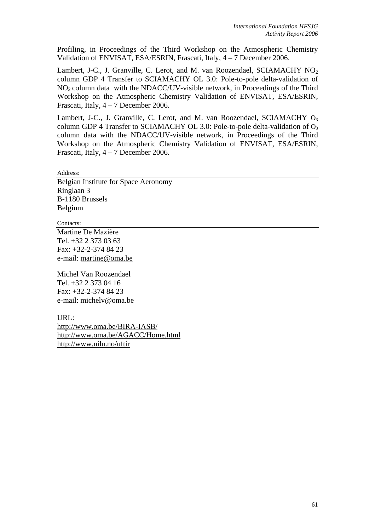Profiling, in Proceedings of the Third Workshop on the Atmospheric Chemistry Validation of ENVISAT, ESA/ESRIN, Frascati, Italy, 4 – 7 December 2006.

Lambert, J-C., J. Granville, C. Lerot, and M. van Roozendael, SCIAMACHY NO<sub>2</sub> column GDP 4 Transfer to SCIAMACHY OL 3.0: Pole-to-pole delta-validation of  $NO<sub>2</sub>$  column data with the NDACC/UV-visible network, in Proceedings of the Third Workshop on the Atmospheric Chemistry Validation of ENVISAT, ESA/ESRIN, Frascati, Italy, 4 – 7 December 2006.

Lambert, J-C., J. Granville, C. Lerot, and M. van Roozendael, SCIAMACHY  $O_3$ column GDP 4 Transfer to SCIAMACHY OL 3.0: Pole-to-pole delta-validation of  $O_3$ column data with the NDACC/UV-visible network, in Proceedings of the Third Workshop on the Atmospheric Chemistry Validation of ENVISAT, ESA/ESRIN, Frascati, Italy, 4 – 7 December 2006.

Address:

Belgian Institute for Space Aeronomy Ringlaan 3 B-1180 Brussels Belgium

Contacts:

Martine De Mazière Tel. +32 2 373 03 63 Fax: +32-2-374 84 23 e-mail: martine@oma.be

Michel Van Roozendael Tel. +32 2 373 04 16 Fax: +32-2-374 84 23 e-mail: michelv@oma.be

URL:

http://www.oma.be/BIRA-IASB/ http://www.oma.be/AGACC/Home.html http://www.nilu.no/uftir